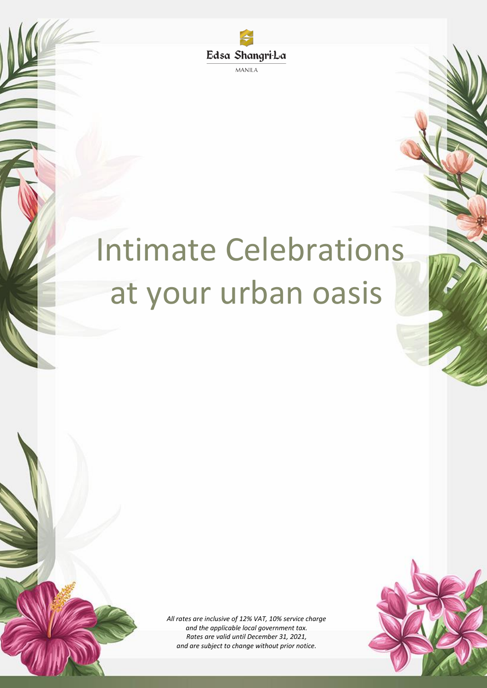Edsa Shangri-La **MANILA** 

## Intimate Celebrations at your urban oasis

*All rates are inclusive of 12% VAT, 10% service charge and the applicable local government tax. Rates are valid until December 31, 2021, and are subject to change without prior notice.*

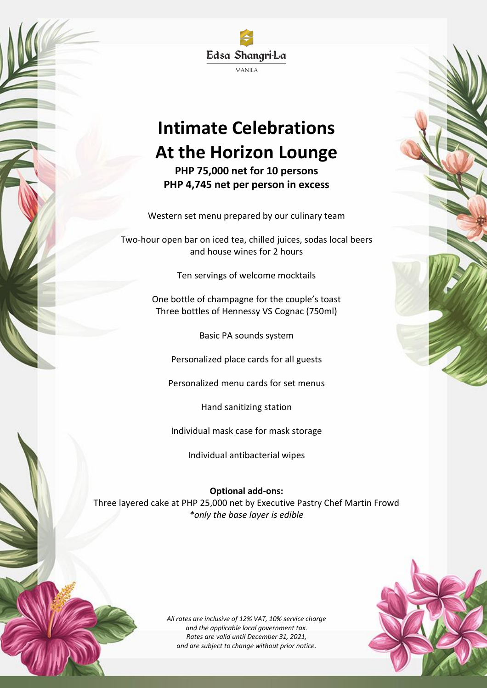Edsa Shangri-La **MANILA** 

## **Intimate Celebrations At the Horizon Lounge**

**PHP 75,000 net for 10 persons PHP 4,745 net per person in excess**

Western set menu prepared by our culinary team

Two-hour open bar on iced tea, chilled juices, sodas local beers and house wines for 2 hours

Ten servings of welcome mocktails

One bottle of champagne for the couple's toast Three bottles of Hennessy VS Cognac (750ml)

Basic PA sounds system

Personalized place cards for all guests

Personalized menu cards for set menus

Hand sanitizing station

Individual mask case for mask storage

Individual antibacterial wipes

**Optional add-ons:**

Three layered cake at PHP 25,000 net by Executive Pastry Chef Martin Frowd *\*only the base layer is edible*

> *All rates are inclusive of 12% VAT, 10% service charge and the applicable local government tax. Rates are valid until December 31, 2021, and are subject to change without prior notice.*